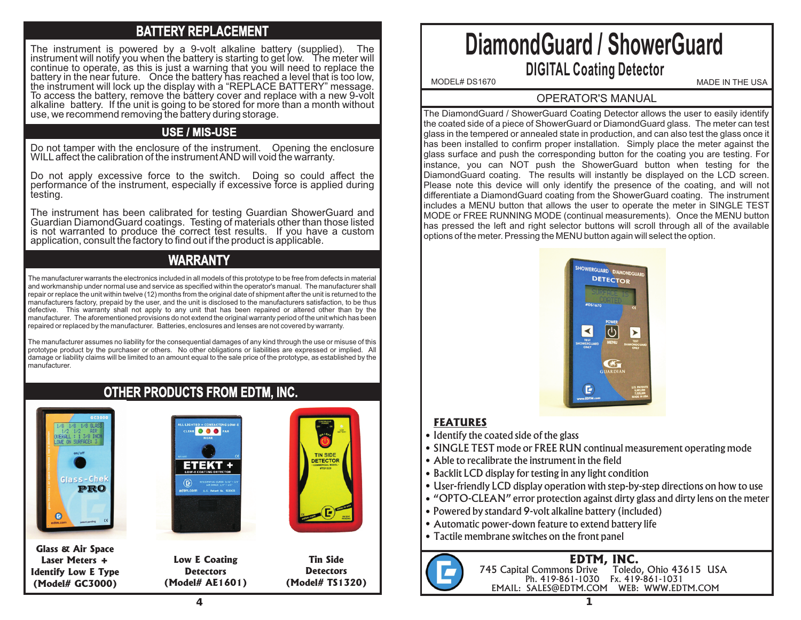# **BATTERY REPLACEMENT**

The instrument is powered by a 9-volt alkaline battery (supplied). The instrument will notify you when the battery is starting to get low. The meter will continue to operate, as this is just a warning that you will need to replace the battery in the near future. Once the battery has reached a level that is too low, the instrument will lock up the display with a "REPLACE BATTERY" message. To access the battery, remove the battery cover and replace with a new 9-volt alkaline battery. If the unit is going to be stored for more than a month without use, we recommend removing the battery during storage.

## **USE / MIS-USE**

Do not tamper with the enclosure of the instrument. Opening the enclosure WILL affect the calibration of the instrument AND will void the warranty.

Do not apply excessive force to the switch. Doing so could affect the performance of the instrument, especially if excessive force is applied during testing.

The instrument has been calibrated for testing Guardian ShowerGuard and Guardian DiamondGuard coatings. Testing of materials other than those listed is not warranted to produce the correct test results. If you have a custom application, consult the factory to find out if the product is applicable.

# **WARRANTY**

The manufacturer warrants the electronics included in all models of this prototype to be free from defects in material and workmanship under normal use and service as specified within the operator's manual. The manufacturer shall repair or replace the unit within twelve (12) months from the original date of shipment after the unit is returned to the manufacturers factory, prepaid by the user, and the unit is disclosed to the manufacturers satisfaction, to be thus defective. This warranty shall not apply to any unit that has been repaired or altered other than by the manufacturer. The aforementioned provisions do not extend the original warranty period of the unit which has been repaired or replaced by the manufacturer. Batteries, enclosures and lenses are not covered by warranty.

The manufacturer assumes no liability for the consequential damages of any kind through the use or misuse of this prototype product by the purchaser or others. No other obligations or liabilities are expressed or implied. All damage or liability claims will be limited to an amount equal to the sale price of the prototype, as established by the manufacturer.

# **OTHER PRODUCTS FROM EDTM, INC.**



**Glass & Air Space Laser Meters + Identify Low E Type (Model# GC3000)**





**Tin Side Detectors (Model# TS1320)**

**TIN SIDE** DETECTOR

# **DiamondGuard / ShowerGuard DIGITAL Coating Detector**

MODEL# DS1670 MADE IN THE USA

#### OPERATOR'S MANUAL

The DiamondGuard / ShowerGuard Coating Detector allows the user to easily identify the coated side of a piece of ShowerGuard or DiamondGuard glass. The meter can test glass in the tempered or annealed state in production, and can also test the glass once it has been installed to confirm proper installation. Simply place the meter against the glass surface and push the corresponding button for the coating you are testing. For instance, you can NOT push the ShowerGuard button when testing for the DiamondGuard coating. The results will instantly be displayed on the LCD screen. Please note this device will only identify the presence of the coating, and will not differentiate a DiamondGuard coating from the ShowerGuard coating. The instrument includes a MENU button that allows the user to operate the meter in SINGLE TEST MODE or FREE RUNNING MODE (continual measurements). Once the MENU button has pressed the left and right selector buttons will scroll through all of the available options of the meter. Pressing the MENU button again will select the option.



### **FEATURES**

- Identify the coated side of the glass
- SINGLE TEST mode or FREE RUN continual measurement operating mode
- Able to recalibrate the instrument in the field
- Backlit LCD display for testing in any light condition
- User-friendly LCD display operation with step-by-step directions on how to use
- "OPTO-CLEAN" error protection against dirty glass and dirty lens on the meter
- Powered by standard 9-volt alkaline battery (included)
- Automatic power-down feature to extend battery life
- Tactile membrane switches on the front panel

#### **EDTM, INC.** 745 Capital Commons Drive Toledo, Ohio 43615 USA Ph. 419-861-1030 Fx. 419-861-1031 EMAIL: SALES@EDTM.COM WEB: WWW.EDTM.COM